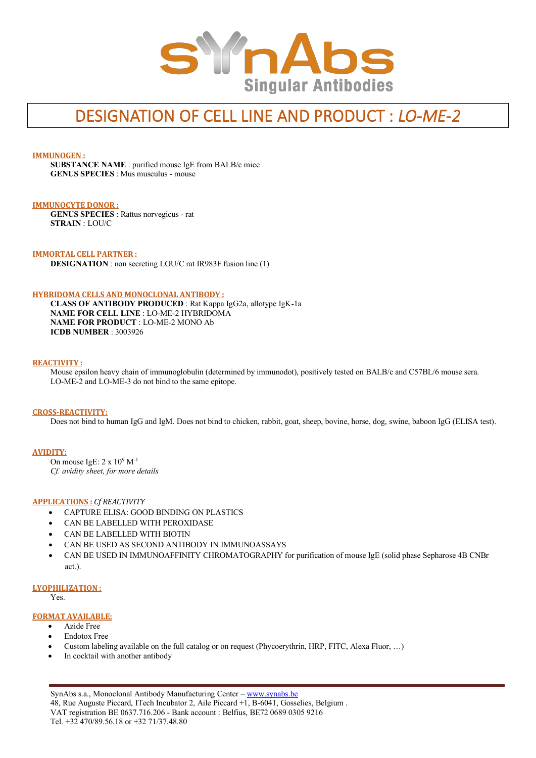

# DESIGNATION OF CELL LINE AND PRODUCT : *LO-ME-2*

## **IMMUNOGEN :**

**SUBSTANCE NAME** : purified mouse IgE from BALB/c mice **GENUS SPECIES** : Mus musculus - mouse

## **IMMUNOCYTE DONOR :**

**GENUS SPECIES** : Rattus norvegicus - rat **STRAIN** : LOU/C

## **IMMORTAL CELL PARTNER :**

**DESIGNATION** : non secreting LOU/C rat IR983F fusion line (1)

#### **HYBRIDOMA CELLS AND MONOCLONAL ANTIBODY :**

**CLASS OF ANTIBODY PRODUCED** : Rat Kappa IgG2a, allotype IgK-1a **NAME FOR CELL LINE** : LO-ME-2 HYBRIDOMA **NAME FOR PRODUCT** : LO-ME-2 MONO Ab **ICDB NUMBER** : 3003926

#### **REACTIVITY :**

Mouse epsilon heavy chain of immunoglobulin (determined by immunodot), positively tested on BALB/c and C57BL/6 mouse sera. LO-ME-2 and LO-ME-3 do not bind to the same epitope.

#### **CROSS-REACTIVITY:**

Does not bind to human IgG and IgM. Does not bind to chicken, rabbit, goat, sheep, bovine, horse, dog, swine, baboon IgG (ELISA test).

#### **AVIDITY:**

On mouse IgE:  $2 \times 10^9$  M<sup>-1</sup> *Cf. avidity sheet, for more details*

## **APPLICATIONS :** *Cf REACTIVITY*

- CAPTURE ELISA: GOOD BINDING ON PLASTICS
- CAN BE LABELLED WITH PEROXIDASE
- CAN BE LABELLED WITH BIOTIN
- CAN BE USED AS SECOND ANTIBODY IN IMMUNOASSAYS
- CAN BE USED IN IMMUNOAFFINITY CHROMATOGRAPHY for purification of mouse IgE (solid phase Sepharose 4B CNBr act.).

#### **LYOPHILIZATION :**

Yes.

## **FORMAT AVAILABLE:**

- Azide Free
- Endotox Free
- Custom labeling available on the full catalog or on request (Phycoerythrin, HRP, FITC, Alexa Fluor, …)
- In cocktail with another antibody